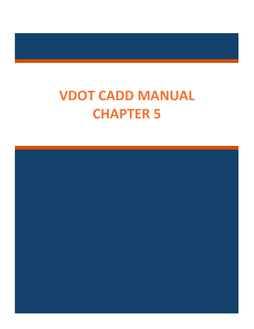# **VDOT CADD MANUAL CHAPTER 5**

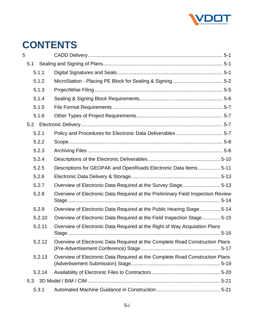

## **CONTENTS**

| 5      |                                                                                 |
|--------|---------------------------------------------------------------------------------|
| 5.1    |                                                                                 |
| 5.1.1  |                                                                                 |
| 5.1.2  |                                                                                 |
| 5.1.3  |                                                                                 |
| 5.1.4  |                                                                                 |
| 5.1.5  |                                                                                 |
| 5.1.6  |                                                                                 |
| 5.2    |                                                                                 |
| 5.2.1  |                                                                                 |
| 5.2.2  |                                                                                 |
| 5.2.3  |                                                                                 |
| 5.2.4  |                                                                                 |
| 5.2.5  | Descriptions for GEOPAK and OpenRoads Electronic Data Items 5-11                |
| 5.2.6  |                                                                                 |
| 5.2.7  | Overview of Electronic Data Required at the Survey Stage 5-13                   |
| 5.2.8  | Overview of Electronic Data Required at the Preliminary Field Inspection Review |
| 5.2.9  | Overview of Electronic Data Required at the Public Hearing Stage 5-14           |
| 5.2.10 | Overview of Electronic Data Required at the Field Inspection Stage 5-15         |
| 5.2.11 | Overview of Electronic Data Required at the Right of Way Acquisition Plans      |
| 5.2.12 | Overview of Electronic Data Required at the Complete Road Construction Plans    |
| 5.2.13 | Overview of Electronic Data Required at the Complete Road Construction Plans    |
| 5.2.14 |                                                                                 |
| 5.3    |                                                                                 |
| 5.3.1  |                                                                                 |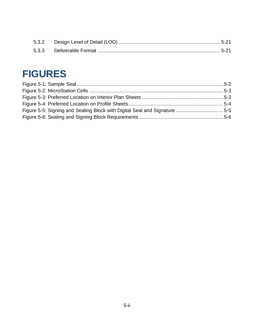## **FIGURES**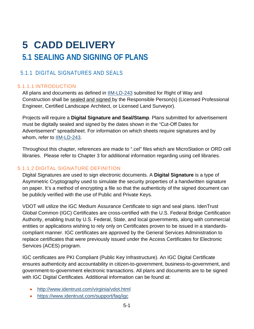## <span id="page-3-1"></span><span id="page-3-0"></span>**5 CADD DELIVERY 5.1 SEALING AND SIGNING OF PLANS**

## <span id="page-3-2"></span>5.1.1 DIGITAL SIGNATURES AND SEALS

### 5.1.1.1 INTRODUCTION

All plans and documents as defined in **IIM-LD-243** submitted for Right of Way and Construction shall be sealed and signed by the Responsible Person(s) (Licensed Professional Engineer, Certified Landscape Architect, or Licensed Land Surveyor).

Projects will require a **Digital Signature and Seal/Stamp**. Plans submitted for advertisement must be digitally sealed and signed by the dates shown in the "Cut-Off Dates for Advertisement" spreadsheet. For information on which sheets require signatures and by whom, refer to [IIM-LD-243.](http://www.virginiadot.org/business/resources/LocDes/IIM/IIM243.pdf)

Throughout this chapter, references are made to ".cel" files which are MicroStation or ORD cell libraries. Please refer to Chapter 3 for additional information regarding using cell libraries.

#### 5.1.1.2 DIGITAL SIGNATURE DEFINITION

Digital Signatures are used to sign electronic documents. A **Digital Signature** is a type of Asymmetric Cryptography used to simulate the security properties of a handwritten signature on paper. It's a method of encrypting a file so that the authenticity of the signed document can be publicly verified with the use of Public and Private Keys.

VDOT will utilize the IGC Medium Assurance Certificate to sign and seal plans. IdenTrust Global Common (IGC) Certificates are cross-certified with the U.S. Federal Bridge Certification Authority, enabling trust by U.S. Federal, State, and local governments, along with commercial entities or applications wishing to rely only on Certificates proven to be issued in a standardscompliant manner. IGC certificates are approved by the General Services Administration to replace certificates that were previously issued under the Access Certificates for Electronic Services (ACES) program.

IGC certificates are PKI Compliant (Public Key Infrastructure). An IGC Digital Certificate ensures authenticity and accountability in citizen-to-government, business-to-government, and government-to-government electronic transactions. All plans and documents are to be signed with IGC Digital Certificates. Additional information can be found at:

- <http://www.identrust.com/virginia/vdot.html>
- <https://www.identrust.com/support/faq/igc>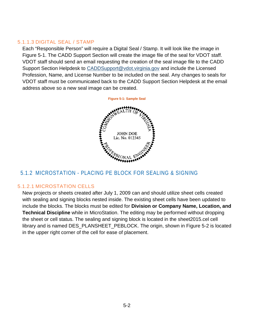#### 5.1.1.3 DIGITAL SEAL / STAMP

<span id="page-4-1"></span>Each "Responsible Person" will require a Digital Seal / Stamp. It will look like the image in [Figure 5-1.](#page-4-1) The CADD Support Section will create the image file of the seal for VDOT staff. VDOT staff should send an email requesting the creation of the seal image file to the CADD Support Section Helpdesk to [CADDSupport@vdot.virginia.gov](mailto:CADDSupport@vdot.virginia.gov?subject=Digital%20Seal/Stamp) and include the Licensed Profession, Name, and License Number to be included on the seal. Any changes to seals for VDOT staff must be communicated back to the CADD Support Section Helpdesk at the email address above so a new seal image can be created.



## <span id="page-4-0"></span>5.1.2 MICROSTATION - PLACING PE BLOCK FOR SEALING & SIGNING

#### 5.1.2.1 MICROSTATION CELLS

New projects or sheets created after July 1, 2009 can and should utilize sheet cells created with sealing and signing blocks nested inside. The existing sheet cells have been updated to include the blocks. The blocks must be edited for **Division or Company Name, Location, and Technical Discipline** while in MicroStation. The editing may be performed without dropping the sheet or cell status. The sealing and signing block is located in the sheet2015.cel cell library and is named DES\_PLANSHEET\_PEBLOCK. The origin, shown in [Figure 5-2](#page-5-0) is located in the upper right corner of the cell for ease of placement.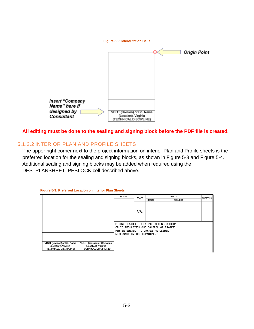<span id="page-5-0"></span>

**All editing must be done to the sealing and signing block before the PDF file is created.**

#### 5.1.2.2 INTERIOR PLAN AND PROFILE SHEETS

The upper right corner next to the project information on interior Plan and Profile sheets is the preferred location for the sealing and signing blocks, as shown in [Figure 5-3](#page-5-1) and [Figure 5-4.](#page-6-0) Additional sealing and signing blocks may be added when required using the DES\_PLANSHEET\_PEBLOCK cell described above.

<span id="page-5-1"></span>

| <b>Figure 5-3: Preferred Location on Interior Plan Sheets</b> |  |  |
|---------------------------------------------------------------|--|--|
|                                                               |  |  |

|                                                                               |                                                                               | <b>REVISED</b>                                                                                                                                           | <b>STATE</b> | <b>STATE</b> |                | SHEET NO. |
|-------------------------------------------------------------------------------|-------------------------------------------------------------------------------|----------------------------------------------------------------------------------------------------------------------------------------------------------|--------------|--------------|----------------|-----------|
|                                                                               |                                                                               |                                                                                                                                                          |              | <b>ROUTE</b> | <b>PROJECT</b> |           |
|                                                                               |                                                                               |                                                                                                                                                          | VA.          |              |                |           |
|                                                                               |                                                                               | DESIGN FEATURES RELATING TO CONSTRUCTION<br>OR TO REGULATION AND CONTROL OF TRAFFIC<br>MAY BE SUBJECT TO CHANGE AS DEEMED<br>NECESSARY BY THE DEPARTMENT |              |              |                |           |
| VDOT (Division) or Co. Name<br>(Location), Virginia<br>(TECHNICAL DISCIPLINE) | VDOT (Division) or Co. Name<br>(Location), Virginia<br>(TECHNICAL DISCIPLINE) |                                                                                                                                                          |              |              |                |           |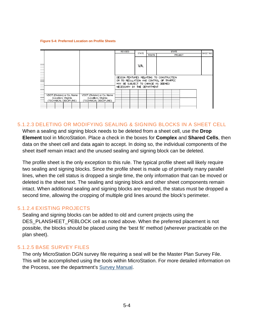#### <span id="page-6-0"></span>**Figure [5-](#page-3-0)4: Preferred Location on Profile Sheets**



#### 5.1.2.3 DELETING OR MODIFYING SEALING & SIGNING BLOCKS IN A SHEET CELL

When a sealing and signing block needs to be deleted from a sheet cell, use the **Drop Element** tool in MicroStation. Place a check in the boxes for **Complex** and **Shared Cells**, then data on the sheet cell and data again to accept. In doing so, the individual components of the sheet itself remain intact and the unused sealing and signing block can be deleted.

The profile sheet is the only exception to this rule. The typical profile sheet will likely require two sealing and signing blocks. Since the profile sheet is made up of primarily many parallel lines, when the cell status is dropped a single time, the only information that can be moved or deleted is the sheet text. The sealing and signing block and other sheet components remain intact. When additional sealing and signing blocks are required, the status must be dropped a second time, allowing the cropping of multiple grid lines around the block's perimeter.

#### 5.1.2.4 EXISTING PROJECTS

Sealing and signing blocks can be added to old and current projects using the DES\_PLANSHEET\_PEBLOCK cell as noted above. When the preferred placement is not possible, the blocks should be placed using the 'best fit' method (wherever practicable on the plan sheet).

#### 5.1.2.5 BASE SURVEY FILES

The only MicroStation DGN survey file requiring a seal will be the Master Plan Survey File. This will be accomplished using the tools within MicroStation. For more detailed information on the Process, see the department's [Survey Manual.](http://www.virginiadot.org/business/locdes/survey_manual.asp)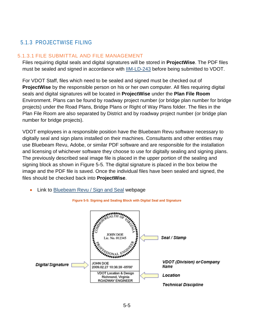## <span id="page-7-0"></span>5.1.3 PROJECTWISE FILING

#### 5.1.3.1 FILE SUBMITTAL AND FILE MANAGEMENT

Files requiring digital seals and digital signatures will be stored in **ProjectWise**. The PDF files must be sealed and signed in accordance with [IIM-LD-243](http://www.virginiadot.org/business/resources/LocDes/IIM/IIM243.pdf) before being submitted to VDOT.

For VDOT Staff, files which need to be sealed and signed must be checked out of **ProjectWise** by the responsible person on his or her own computer. All files requiring digital seals and digital signatures will be located in **ProjectWise** under the **Plan File Room** Environment. Plans can be found by roadway project number (or bridge plan number for bridge projects) under the Road Plans, Bridge Plans or Right of Way Plans folder. The files in the Plan File Room are also separated by District and by roadway project number (or bridge plan number for bridge projects).

VDOT employees in a responsible position have the Bluebeam Revu software necessary to digitally seal and sign plans installed on their machines. Consultants and other entities may use Bluebeam Revu, Adobe, or similar PDF software and are responsible for the installation and licensing of whichever software they choose to use for digitally sealing and signing plans. The previously described seal image file is placed in the upper portion of the sealing and signing block as shown in [Figure 5-5.](#page-7-1) The digital signature is placed in the box below the image and the PDF file is saved. Once the individual files have been sealed and signed, the files should be checked back into **ProjectWise**.

Link to [Bluebeam Revu / Sign and Seal](http://www.virginiadot.org/business/locdes/bluebeam_revu_sign_and_seal.asp) webpage

<span id="page-7-1"></span>

**Figure 5-5: Signing and Sealing Block with Digital Seal and Signature**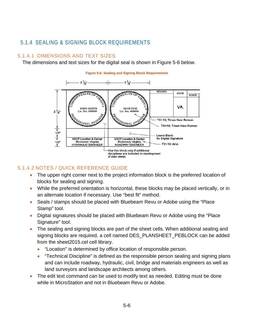## <span id="page-8-0"></span>5.1.4 SEALING & SIGNING BLOCK REQUIREMENTS

#### 5.1.4.1 DIMENSIONS AND TEXT SIZES

<span id="page-8-1"></span>The dimensions and text sizes for the digital seal is shown in [Figure 5-6](#page-8-1) below.



#### 5.1.4.2 NOTES / QUICK REFERENCE GUIDE

- The upper right corner next to the project information block is the preferred location of blocks for sealing and signing.
- While the preferred orientation is horizontal, these blocks may be placed vertically, or in an alternate location if necessary. Use "best fit" method.
- Seals / stamps should be placed with Bluebeam Revu or Adobe using the "Place" Stamp" tool.
- Digital signatures should be placed with Bluebeam Revu or Adobe using the "Place Signature" tool.
- The sealing and signing blocks are part of the sheet cells. When additional sealing and signing blocks are required, a cell named DES\_PLANSHEET\_PEBLOCK can be added from the sheet2015.cel cell library.
	- "Location" is determined by office location of responsible person.
	- "Technical Discipline" is defined as the responsible person sealing and signing plans and can include roadway, hydraulic, civil, bridge and materials engineers as well as land surveyors and landscape architects among others.
- The edit text command can be used to modify text as needed. Editing must be done while in MicroStation and not in Bluebeam Revu or Adobe.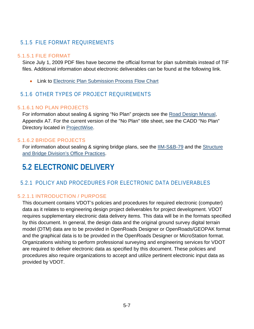## <span id="page-9-0"></span>5.1.5 FILE FORMAT REQUIREMENTS

#### 5.1.5.1 FILE FORMAT

Since July 1, 2009 PDF files have become the official format for plan submittals instead of TIF files. Additional information about electronic deliverables can be found at the following link.

• Link to [Electronic Plan Submission Process Flow Chart](http://www.extranet.vdot.state.va.us/locdes/ElectronicPlan_Submission.pdf)

## <span id="page-9-1"></span>5.1.6 OTHER TYPES OF PROJECT REQUIREMENTS

#### 5.1.6.1 NO PLAN PROJECTS

For information about sealing & signing "No Plan" projects see the [Road Design Manual,](http://www.virginiadot.org/business/resources/LocDes/RDM/Appendix_a7.pdf) Appendix A7. For the current version of the "No Plan" title sheet, see the CADD "No Plan" Directory located in [ProjectWise.](https://projectwiseconnector.azurewebsites.net/api/GetProcessGmailLink?code=zBBTVzTLoCXyxzYs/eme6FmqAnOnQBRHQHnNHl55aNpOS59HfWapQA==&timeout=3000&pwlink=pw://WAP04113.cov.virginia.gov:PW/Documents/P%7b80d7c972-a77b-412f-beb4-e3cbf7197f7b%7d/)

#### 5.1.6.2 BRIDGE PROJECTS

For information about sealing & signing bridge plans, see the [IIM-S&B-79](http://www.virginiadot.org/business/resources/bridge/Manuals/IIM/SBIIM.pdf) and the [Structure](http://www.virginiadot.org/business/bridge-manuals.asp)  [and Bridge Division's Office Practices.](http://www.virginiadot.org/business/bridge-manuals.asp)

## <span id="page-9-2"></span>**5.2 ELECTRONIC DELIVERY**

## <span id="page-9-3"></span>5.2.1 POLICY AND PROCEDURES FOR ELECTRONIC DATA DELIVERABLES

### 5.2.1.1 INTRODUCTION / PURPOSE

This document contains VDOT's policies and procedures for required electronic (computer) data as it relates to engineering design project deliverables for project development. VDOT requires supplementary electronic data delivery items. This data will be in the formats specified by this document. In general, the design data and the original ground survey digital terrain model (DTM) data are to be provided in OpenRoads Designer or OpenRoads/GEOPAK format and the graphical data is to be provided in the OpenRoads Designer or MicroStation format. Organizations wishing to perform professional surveying and engineering services for VDOT are required to deliver electronic data as specified by this document. These policies and procedures also require organizations to accept and utilize pertinent electronic input data as provided by VDOT.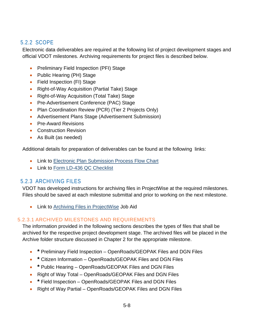## <span id="page-10-0"></span>5.2.2 SCOPE

Electronic data deliverables are required at the following list of project development stages and official VDOT milestones. Archiving requirements for project files is described below.

- Preliminary Field Inspection (PFI) Stage
- Public Hearing (PH) Stage
- Field Inspection (FI) Stage
- Right-of-Way Acquisition (Partial Take) Stage
- Right-of-Way Acquisition (Total Take) Stage
- Pre-Advertisement Conference (PAC) Stage
- Plan Coordination Review (PCR) (Tier 2 Projects Only)
- Advertisement Plans Stage (Advertisement Submission)
- Pre-Award Revisions
- Construction Revision
- As Built (as needed)

Additional details for preparation of deliverables can be found at the following links:

- Link to [Electronic Plan Submission Process Flow Chart](http://www.extranet.vdot.state.va.us/locdes/ElectronicPlan_Submission.pdf)
- Link to [Form LD-436 QC Checklist](http://vdotforms.vdot.virginia.gov/SearchResults.aspx?strFormNumber=LD-436)

## <span id="page-10-1"></span>5.2.3 ARCHIVING FILES

VDOT has developed instructions for archiving files in ProjectWise at the required milestones. Files should be saved at each milestone submittal and prior to working on the next milestone.

• Link to [Archiving Files in ProjectWise](https://www.virginiadot.org/business/resources/LocDes/JobAids/PW/Archiving_Files.pdf) Job Aid

#### 5.2.3.1 ARCHIVED MILESTONES AND REQUIREMENTS

The information provided in the following sections describes the types of files that shall be archived for the respective project development stage. The archived files will be placed in the Archive folder structure discussed in Chapter 2 for the appropriate milestone.

- **\*** Preliminary Field Inspection OpenRoads/GEOPAK Files and DGN Files
- **\*** Citizen Information OpenRoads/GEOPAK Files and DGN Files
- **\*** Public Hearing OpenRoads/GEOPAK Files and DGN Files
- Right of Way Total OpenRoads/GEOPAK Files and DGN Files
- **\*** Field Inspection OpenRoads/GEOPAK Files and DGN Files
- Right of Way Partial OpenRoads/GEOPAK Files and DGN Files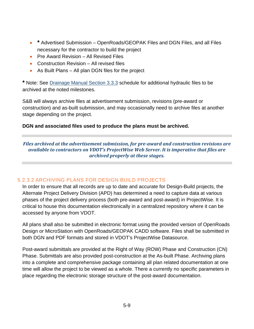- **\*** Advertised Submission OpenRoads/GEOPAK Files and DGN Files, and all Files necessary for the contractor to build the project
- Pre Award Revision All Revised Files
- Construction Revision All revised files
- As Built Plans All plan DGN files for the project

**\*** Note: See [Drainage Manual Section 3.3.3](http://www.virginiadot.org/business/resources/LocDes/DrainageManual/chapter3.pdf) schedule for additional hydraulic files to be archived at the noted milestones.

S&B will always archive files at advertisement submission, revisions (pre-award or construction) and as-built submission, and may occasionally need to archive files at another stage depending on the project.

#### **DGN and associated files used to produce the plans must be archived.**

*Files archived at the advertisement submission, for pre-award and construction revisions are available to contractors on VDOT's ProjectWise Web Server. It is imperative that files are archived properly at these stages.*

#### 5.2.3.2 ARCHIVING PLANS FOR DESIGN BUILD PROJECTS

In order to ensure that all records are up to date and accurate for Design-Build projects, the Alternate Project Delivery Division (APD) has determined a need to capture data at various phases of the project delivery process (both pre-award and post-award) in ProjectWise. It is critical to house this documentation electronically in a centralized repository where it can be accessed by anyone from VDOT.

All plans shall also be submitted in electronic format using the provided version of OpenRoads Design or MicroStation with OpenRoads/GEOPAK CADD software. Files shall be submitted in both DGN and PDF formats and stored in VDOT's ProjectWise Datasource.

Post-award submittals are provided at the Right of Way (ROW) Phase and Construction (CN) Phase. Submittals are also provided post-construction at the As-built Phase. Archiving plans into a complete and comprehensive package containing all plan related documentation at one time will allow the project to be viewed as a whole. There a currently no specific parameters in place regarding the electronic storage structure of the post-award documentation.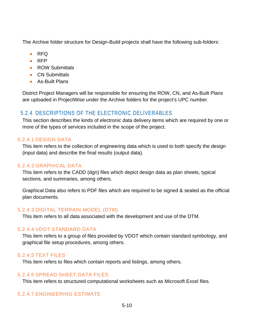The Archive folder structure for Design-Build projects shall have the following sub-folders:

- RFQ
- RFP
- ROW Submittals
- CN Submittals
- As-Built Plans

District Project Managers will be responsible for ensuring the ROW, CN, and As-Built Plans are uploaded in ProjectWise under the Archive folders for the project's UPC number.

## <span id="page-12-0"></span>5.2.4 DESCRIPTIONS OF THE ELECTRONIC DELIVERABLES

This section describes the kinds of electronic data delivery items which are required by one or more of the types of services included in the scope of the project.

#### 5.2.4.1 DESIGN DATA

This item refers to the collection of engineering data which is used to both specify the design (input data) and describe the final results (output data).

#### 5.2.4.2 GRAPHICAL DATA

This item refers to the CADD (dgn) files which depict design data as plan sheets, typical sections, and summaries, among others.

Graphical Data also refers to PDF files which are required to be signed & sealed as the official plan documents.

#### 5.2.4.3 DIGITAL TERRAIN MODEL (DTM)

This item refers to all data associated with the development and use of the DTM.

#### 5.2.4.4 VDOT STANDARD DATA

This item refers to a group of files provided by VDOT which contain standard symbology, and graphical file setup procedures, among others.

#### 5.2.4.5 TEXT FILES

This item refers to files which contain reports and listings, among others.

#### 5.2.4.6 SPREAD SHEET DATA FILES

This item refers to structured computational worksheets such as Microsoft Excel files.

#### 5.2.4.7 ENGINEERING ESTIMATE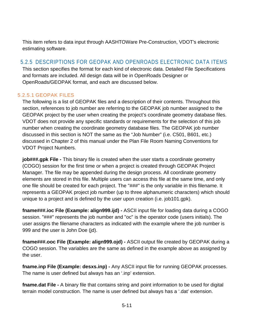This item refers to data input through AASHTOWare Pre-Construction, VDOT's electronic estimating software.

## <span id="page-13-0"></span>5.2.5 DESCRIPTIONS FOR GEOPAK AND OPENROADS ELECTRONIC DATA ITEMS

This section specifies the format for each kind of electronic data. Detailed File Specifications and formats are included. All design data will be in OpenRoads Designer or OpenRoads/GEOPAK format, and each are discussed below.

#### 5.2.5.1 GEOPAK FILES

The following is a list of GEOPAK files and a description of their contents. Throughout this section, references to job number are referring to the GEOPAK job number assigned to the GEOPAK project by the user when creating the project's coordinate geometry database files. VDOT does not provide any specific standards or requirements for the selection of this job number when creating the coordinate geometry database files. The GEOPAK job number discussed in this section is NOT the same as the "Job Number" (i.e. C501, B601, etc.) discussed in Chapter 2 of this manual under the Plan File Room Naming Conventions for VDOT Project Numbers.

**job###.gpk File -** This binary file is created when the user starts a coordinate geometry (COGO) session for the first time or when a project is created through GEOPAK Project Manager. The file may be appended during the design process. All coordinate geometry elements are stored in this file. Multiple users can access this file at the same time, and only one file should be created for each project. The "###" is the only variable in this filename. It represents a GEOPAK project job number (up to three alphanumeric characters) which should unique to a project and is defined by the user upon creation (i.e. job101.gpk).

**fname###.ioc File (Example: align999.ijd) -** ASCII input file for loading data during a COGO session. "###" represents the job number and "oc" is the operator code (users initials). The user assigns the filename characters as indicated with the example where the job number is 999 and the user is John Doe (jd).

**fname###.ooc File (Example: align999.ojd) -** ASCII output file created by GEOPAK during a COGO session. The variables are the same as defined in the example above as assigned by the user.

**fname.inp File (Example: desxs.inp) -** Any ASCII input file for running GEOPAK processes. The name is user defined but always has an '.inp' extension.

**fname.dat File -** A binary file that contains string and point information to be used for digital terrain model construction. The name is user defined but always has a '.dat' extension.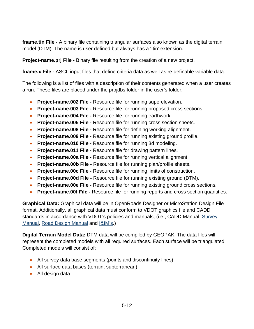**fname.tin File -** A binary file containing triangular surfaces also known as the digital terrain model (DTM). The name is user defined but always has a '.tin' extension.

**Project-name.prj File -** Binary file resulting from the creation of a new project.

**fname.x File -** ASCII input files that define criteria data as well as re-definable variable data.

The following is a list of files with a description of their contents generated when a user creates a run. These files are placed under the projdbs folder in the user's folder.

- **Project-name.002 File -** Resource file for running superelevation.
- **Project-name.003 File -** Resource file for running proposed cross sections.
- **Project-name.004 File -** Resource file for running earthwork.
- **Project-name.005 File -** Resource file for running cross section sheets.
- **Project-name.008 File -** Resource file for defining working alignment.
- **Project-name.009 File -** Resource file for running existing ground profile.
- **Project-name.010 File -** Resource file for running 3d modeling.
- **Project-name.011 File -** Resource file for drawing pattern lines.
- **Project-name.00a File -** Resource file for running vertical alignment.
- **Project-name.00b File -** Resource file for running plan/profile sheets.
- **Project-name.00c File -** Resource file for running limits of construction.
- **Project-name.00d File -** Resource file for running existing ground (DTM).
- **Project-name.00e File -** Resource file for running existing ground cross sections.
- **Project-name.00f File -** Resource file for running reports and cross section quantities.

**Graphical Data:** Graphical data will be in OpenRoads Designer or MicroStation Design File format. Additionally, all graphical data must conform to VDOT graphics file and CADD standards in accordance with VDOT's policies and manuals, (i.e., CADD Manual, Survey [Manual,](http://www.virginiadot.org/business/locdes/survey_manual.asp) [Road Design Manual](http://www.virginiadot.org/business/locdes/rdmanual-index.asp) and [I&IM's.](http://www.virginiadot.org/business/locdes/iim_table_of_contents.asp))

**Digital Terrain Model Data:** DTM data will be compiled by GEOPAK. The data files will represent the completed models with all required surfaces. Each surface will be triangulated. Completed models will consist of:

- All survey data base segments (points and discontinuity lines)
- All surface data bases (terrain, subterranean)
- All design data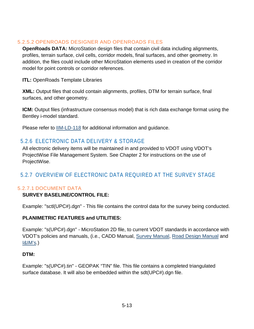#### 5.2.5.2 OPENROADS DESIGNER AND OPENROADS FILES

**OpenRoads DATA:** MicroStation design files that contain civil data including alignments, profiles, terrain surface, civil cells, corridor models, final surfaces, and other geometry. In addition, the files could include other MicroStation elements used in creation of the corridor model for point controls or corridor references.

**ITL:** OpenRoads Template Libraries

**XML:** Output files that could contain alignments, profiles, DTM for terrain surface, final surfaces, and other geometry.

**ICM:** Output files (infrastructure consensus model) that is rich data exchange format using the Bentley i-model standard.

Please refer to **IIM-LD-118** for additional information and guidance.

## <span id="page-15-0"></span>5.2.6 ELECTRONIC DATA DELIVERY & STORAGE

All electronic delivery items will be maintained in and provided to VDOT using VDOT's ProjectWise File Management System. See Chapter 2 for instructions on the use of ProjectWise.

## <span id="page-15-1"></span>5.2.7 OVERVIEW OF ELECTRONIC DATA REQUIRED AT THE SURVEY STAGE

### 5.2.7.1 DOCUMENT DATA

### **SURVEY BASELINE/CONTROL FILE:**

Example: "sctl(UPC#).dgn" - This file contains the control data for the survey being conducted.

#### **PLANIMETRIC FEATURES and UTILITIES:**

Example: "s(UPC#).dgn" - MicroStation 2D file, to current VDOT standards in accordance with VDOT's policies and manuals, (i.e., CADD Manual, [Survey Manual,](http://www.virginiadot.org/business/locdes/survey_manual.asp) [Road Design Manual](http://www.virginiadot.org/business/locdes/rdmanual-index.asp) and [I&IM's.](http://www.virginiadot.org/business/locdes/iim_table_of_contents.asp))

#### **DTM:**

Example: "s(UPC#).tin" - GEOPAK "TIN" file. This file contains a completed triangulated surface database. It will also be embedded within the sdt(UPC#).dgn file.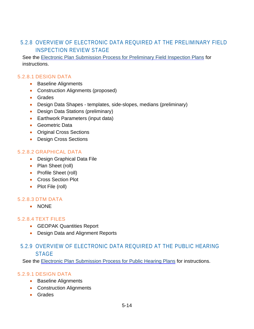## <span id="page-16-0"></span>5.2.8 OVERVIEW OF ELECTRONIC DATA REQUIRED AT THE PRELIMINARY FIELD INSPECTION REVIEW STAGE

See the [Electronic Plan Submission Process for Preliminary Field Inspection Plans](http://www.virginiadot.org/business/locdes/final_scoping_and_preliminary_field_inspection.asp) for instructions.

#### 5.2.8.1 DESIGN DATA

- Baseline Alignments
- Construction Alignments (proposed)
- Grades
- Design Data Shapes templates, side-slopes, medians (preliminary)
- Design Data Stations (preliminary)
- Earthwork Parameters (input data)
- Geometric Data
- Original Cross Sections
- Design Cross Sections

#### 5.2.8.2 GRAPHICAL DATA

- Design Graphical Data File
- Plan Sheet (roll)
- Profile Sheet (roll)
- Cross Section Plot
- Plot File (roll)

#### 5.2.8.3 DTM DATA

• NONE

#### 5.2.8.4 TEXT FILES

- GEOPAK Quantities Report
- Design Data and Alignment Reports

## <span id="page-16-1"></span>5.2.9 OVERVIEW OF ELECTRONIC DATA REQUIRED AT THE PUBLIC HEARING STAGE

See the [Electronic Plan Submission Process for Public Hearing Plans](http://www.virginiadot.org/business/locdes/Hearing_Field_Inspection.asp) for instructions.

#### 5.2.9.1 DESIGN DATA

- Baseline Alignments
- Construction Alignments
- Grades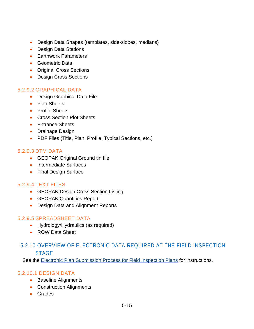- Design Data Shapes (templates, side-slopes, medians)
- Design Data Stations
- Earthwork Parameters
- Geometric Data
- Original Cross Sections
- Design Cross Sections

#### 5.2.9.2 GRAPHICAL DATA

- Design Graphical Data File
- Plan Sheets
- Profile Sheets
- Cross Section Plot Sheets
- Entrance Sheets
- Drainage Design
- PDF Files (Title, Plan, Profile, Typical Sections, etc.)

#### 5.2.9.3 DTM DATA

- GEOPAK Original Ground tin file
- Intermediate Surfaces
- Final Design Surface

#### 5.2.9.4 TEXT FILES

- GEOPAK Design Cross Section Listing
- GEOPAK Quantities Report
- Design Data and Alignment Reports

#### 5.2.9.5 SPREADSHEET DATA

- Hydrology/Hydraulics (as required)
- ROW Data Sheet

## <span id="page-17-0"></span>5.2.10 OVERVIEW OF ELECTRONIC DATA REQUIRED AT THE FIELD INSPECTION **STAGE**

See the [Electronic Plan Submission Process for Field Inspection Plans](http://www.virginiadot.org/business/locdes/Field_Inspection.asp) for instructions.

#### 5.2.10.1 DESIGN DATA

- Baseline Alignments
- Construction Alignments
- Grades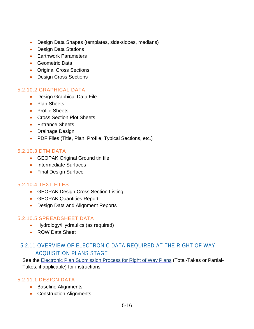- Design Data Shapes (templates, side-slopes, medians)
- Design Data Stations
- Earthwork Parameters
- Geometric Data
- Original Cross Sections
- Design Cross Sections

#### 5.2.10.2 GRAPHICAL DATA

- Design Graphical Data File
- Plan Sheets
- Profile Sheets
- Cross Section Plot Sheets
- Entrance Sheets
- Drainage Design
- PDF Files (Title, Plan, Profile, Typical Sections, etc.)

#### 5.2.10.3 DTM DATA

- GEOPAK Original Ground tin file
- Intermediate Surfaces
- Final Design Surface

#### 5.2.10.4 TEXT FILES

- GEOPAK Design Cross Section Listing
- GEOPAK Quantities Report
- Design Data and Alignment Reports

#### 5.2.10.5 SPREADSHEET DATA

- Hydrology/Hydraulics (as required)
- ROW Data Sheet

## <span id="page-18-0"></span>5.2.11 OVERVIEW OF ELECTRONIC DATA REQUIRED AT THE RIGHT OF WAY ACQUISITION PLANS STAGE

See the [Electronic Plan Submission Process for Right of Way Plans](http://www.virginiadot.org/business/locdes/Right_of_way_partial_take.asp) (Total-Takes or Partial-Takes, if applicable) for instructions.

#### 5.2.11.1 DESIGN DATA

- Baseline Alignments
- Construction Alignments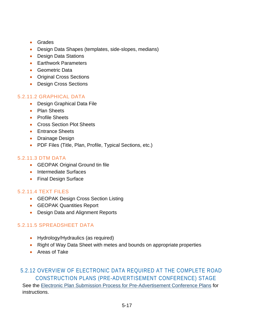- Grades
- Design Data Shapes (templates, side-slopes, medians)
- Design Data Stations
- Earthwork Parameters
- Geometric Data
- Original Cross Sections
- Design Cross Sections

#### 5.2.11.2 GRAPHICAL DATA

- Design Graphical Data File
- Plan Sheets
- Profile Sheets
- Cross Section Plot Sheets
- Entrance Sheets
- Drainage Design
- PDF Files (Title, Plan, Profile, Typical Sections, etc.)

#### 5.2.11.3 DTM DATA

- GEOPAK Original Ground tin file
- Intermediate Surfaces
- Final Design Surface

#### 5.2.11.4 TEXT FILES

- GEOPAK Design Cross Section Listing
- GEOPAK Quantities Report
- Design Data and Alignment Reports

#### 5.2.11.5 SPREADSHEET DATA

- Hydrology/Hydraulics (as required)
- Right of Way Data Sheet with metes and bounds on appropriate properties
- Areas of Take

## <span id="page-19-0"></span>5.2.12 OVERVIEW OF ELECTRONIC DATA REQUIRED AT THE COMPLETE ROAD CONSTRUCTION PLANS (PRE-ADVERTISEMENT CONFERENCE) STAGE

See the [Electronic Plan Submission Process for Pre-Advertisement Conference Plans](http://www.virginiadot.org/business/locdes/pre_advertisement_conference.asp) for instructions.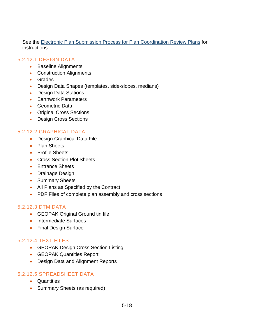See the [Electronic Plan Submission Process for Plan Coordination Review Plans](http://www.virginiadot.org/business/locdes/Plan_Coordination_Review.asp) for instructions.

#### 5.2.12.1 DESIGN DATA

- Baseline Alignments
- Construction Alignments
- Grades
- Design Data Shapes (templates, side-slopes, medians)
- Design Data Stations
- Earthwork Parameters
- Geometric Data
- Original Cross Sections
- Design Cross Sections

#### 5.2.12.2 GRAPHICAL DATA

- Design Graphical Data File
- Plan Sheets
- Profile Sheets
- Cross Section Plot Sheets
- Entrance Sheets
- Drainage Design
- Summary Sheets
- All Plans as Specified by the Contract
- PDF Files of complete plan assembly and cross sections

#### 5.2.12.3 DTM DATA

- GEOPAK Original Ground tin file
- Intermediate Surfaces
- Final Design Surface

#### 5.2.12.4 TEXT FILES

- GEOPAK Design Cross Section Listing
- GEOPAK Quantities Report
- Design Data and Alignment Reports

#### 5.2.12.5 SPREADSHEET DATA

- Quantities
- Summary Sheets (as required)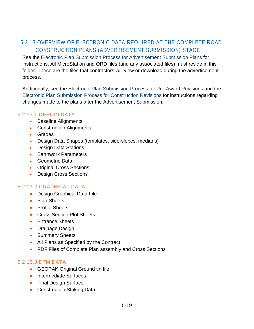## <span id="page-21-0"></span>5.2.13 OVERVIEW OF ELECTRONIC DATA REQUIRED AT THE COMPLETE ROAD CONSTRUCTION PLANS (ADVERTISEMENT SUBMISSION) STAGE

See the [Electronic Plan Submission Process for Advertisement Submission Plans](http://www.virginiadot.org/business/locdes/ADVERTISEMENT_SUBMISSION.asp) for instructions. All MicroStation and ORD files (and any associated files) must reside in this folder. These are the files that contractors will view or download during the advertisement process.

Additionally, see the [Electronic Plan Submission Process for Pre-Award Revisions](http://www.virginiadot.org/business/locdes/Pre_Award_Revisions.asp) and the [Electronic Plan Submission Process for Construction Revisions](http://www.virginiadot.org/business/locdes/Construction_Revisions.asp) for instructions regarding changes made to the plans after the Advertisement Submission.

#### 5.2.13.1 DESIGN DATA

- Baseline Alignments
- Construction Alignments
- Grades
- Design Data Shapes (templates, side-slopes, medians)
- Design Data Stations
- Earthwork Parameters
- Geometric Data
- Original Cross Sections
- Design Cross Sections

#### 5.2.13.2 GRAPHICAL DATA

- Design Graphical Data File
- Plan Sheets
- Profile Sheets
- Cross Section Plot Sheets
- Entrance Sheets
- Drainage Design
- Summary Sheets
- All Plans as Specified by the Contract
- PDF Files of Complete Plan assembly and Cross Sections

#### 5.2.13.3 DTM DATA

- GEOPAK Original Ground tin file
- Intermediate Surfaces
- Final Design Surface
- Construction Staking Data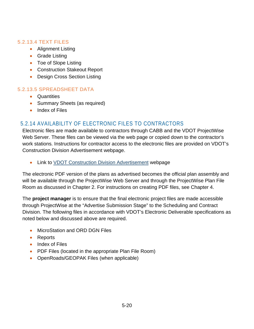#### 5.2.13.4 TEXT FILES

- Alignment Listing
- Grade Listing
- Toe of Slope Listing
- Construction Stakeout Report
- Design Cross Section Listing

#### 5.2.13.5 SPREADSHEET DATA

- Quantities
- Summary Sheets (as required)
- Index of Files

## <span id="page-22-0"></span>5.2.14 AVAILABILITY OF ELECTRONIC FILES TO CONTRACTORS

Electronic files are made available to contractors through CABB and the VDOT ProjectWise Web Server. These files can be viewed via the web page or copied down to the contractor's work stations. Instructions for contractor access to the electronic files are provided on VDOT's Construction Division Advertisement webpage.

• Link to [VDOT Construction Division Advertisement](http://www.virginiadot.org/business/const/advertisement.asp) webpage

The electronic PDF version of the plans as advertised becomes the official plan assembly and will be available through the ProjectWise Web Server and through the ProjectWise Plan File Room as discussed in Chapter 2. For instructions on creating PDF files, see Chapter 4.

The **project manager** is to ensure that the final electronic project files are made accessible through ProjectWise at the "Advertise Submission Stage" to the Scheduling and Contract Division. The following files in accordance with VDOT's Electronic Deliverable specifications as noted below and discussed above are required.

- MicroStation and ORD DGN Files
- Reports
- Index of Files
- PDF Files (located in the appropriate Plan File Room)
- OpenRoads/GEOPAK Files (when applicable)